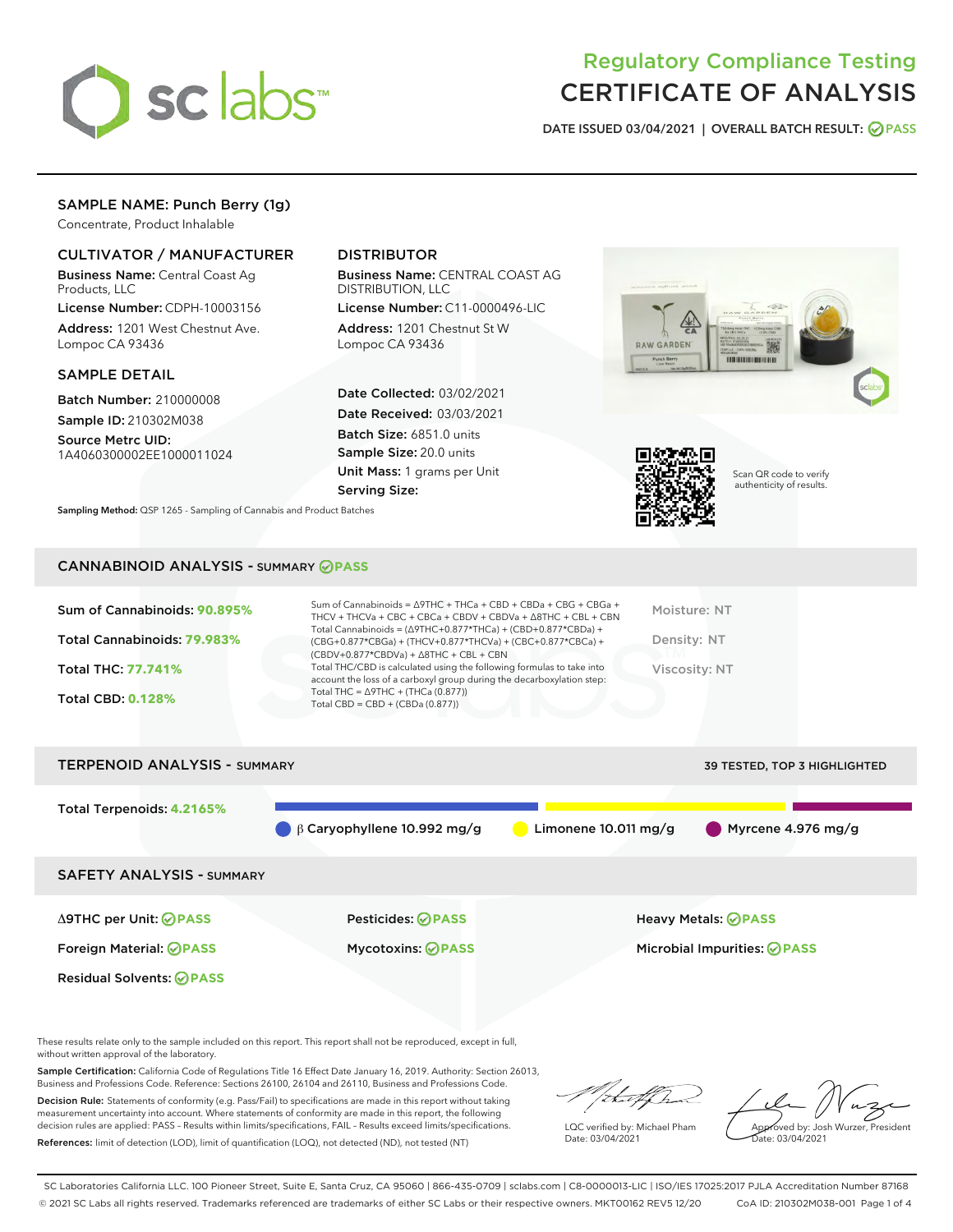

# Regulatory Compliance Testing CERTIFICATE OF ANALYSIS

DATE ISSUED 03/04/2021 | OVERALL BATCH RESULT: @ PASS

# SAMPLE NAME: Punch Berry (1g)

Concentrate, Product Inhalable

# CULTIVATOR / MANUFACTURER

Business Name: Central Coast Ag Products, LLC

License Number: CDPH-10003156 Address: 1201 West Chestnut Ave. Lompoc CA 93436

## SAMPLE DETAIL

Batch Number: 210000008 Sample ID: 210302M038

Source Metrc UID: 1A4060300002EE1000011024

# DISTRIBUTOR

Business Name: CENTRAL COAST AG DISTRIBUTION, LLC

License Number: C11-0000496-LIC Address: 1201 Chestnut St W Lompoc CA 93436

Date Collected: 03/02/2021 Date Received: 03/03/2021 Batch Size: 6851.0 units Sample Size: 20.0 units Unit Mass: 1 grams per Unit Serving Size:





Scan QR code to verify authenticity of results.

Sampling Method: QSP 1265 - Sampling of Cannabis and Product Batches

# CANNABINOID ANALYSIS - SUMMARY **PASS**

| <b>Total CBD: 0.128%</b>                                    | account the loss of a carboxyl group during the decarboxylation step:<br>Total THC = $\triangle$ 9THC + (THCa (0.877))<br>Total CBD = $CBD + (CBDa (0.877))$                                                                                                                           |                             |
|-------------------------------------------------------------|----------------------------------------------------------------------------------------------------------------------------------------------------------------------------------------------------------------------------------------------------------------------------------------|-----------------------------|
| <b>Total THC: 77.741%</b>                                   | $(CBDV+0.877*CBDVa) + \Delta 8THC + CBL + CBN$<br>Total THC/CBD is calculated using the following formulas to take into                                                                                                                                                                | Viscosity: NT               |
| Sum of Cannabinoids: 90.895%<br>Total Cannabinoids: 79.983% | Sum of Cannabinoids = $\triangle$ 9THC + THCa + CBD + CBDa + CBG + CBGa +<br>THCV + THCVa + CBC + CBCa + CBDV + CBDVa + $\land$ 8THC + CBL + CBN<br>Total Cannabinoids = $(\Delta$ 9THC+0.877*THCa) + (CBD+0.877*CBDa) +<br>(CBG+0.877*CBGa) + (THCV+0.877*THCVa) + (CBC+0.877*CBCa) + | Moisture: NT<br>Density: NT |



These results relate only to the sample included on this report. This report shall not be reproduced, except in full, without written approval of the laboratory.

Sample Certification: California Code of Regulations Title 16 Effect Date January 16, 2019. Authority: Section 26013, Business and Professions Code. Reference: Sections 26100, 26104 and 26110, Business and Professions Code.

Decision Rule: Statements of conformity (e.g. Pass/Fail) to specifications are made in this report without taking measurement uncertainty into account. Where statements of conformity are made in this report, the following decision rules are applied: PASS – Results within limits/specifications, FAIL – Results exceed limits/specifications. References: limit of detection (LOD), limit of quantification (LOQ), not detected (ND), not tested (NT)

that for

LQC verified by: Michael Pham Date: 03/04/2021

Approved by: Josh Wurzer, President ate: 03/04/2021

SC Laboratories California LLC. 100 Pioneer Street, Suite E, Santa Cruz, CA 95060 | 866-435-0709 | sclabs.com | C8-0000013-LIC | ISO/IES 17025:2017 PJLA Accreditation Number 87168 © 2021 SC Labs all rights reserved. Trademarks referenced are trademarks of either SC Labs or their respective owners. MKT00162 REV5 12/20 CoA ID: 210302M038-001 Page 1 of 4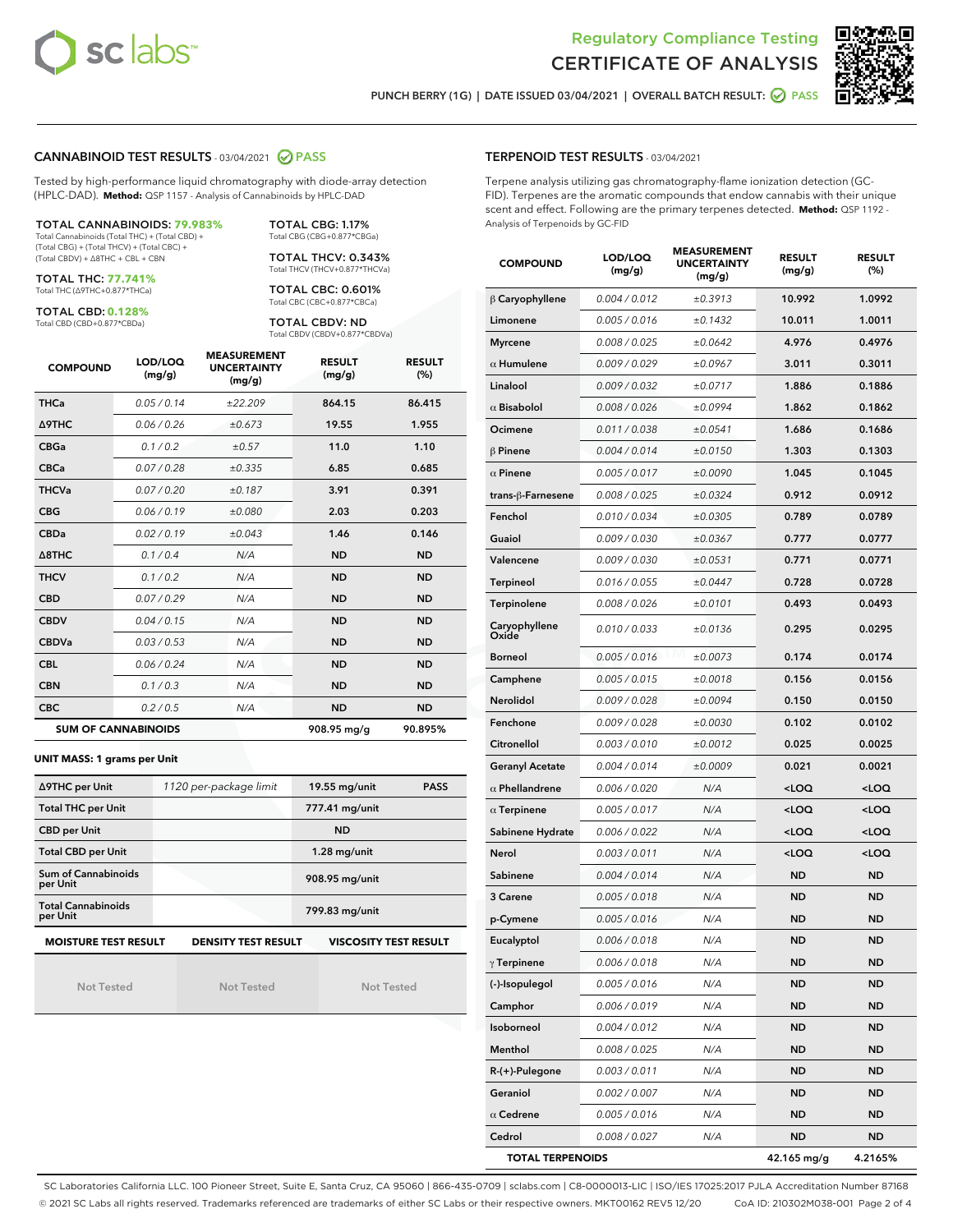



PUNCH BERRY (1G) | DATE ISSUED 03/04/2021 | OVERALL BATCH RESULT: @ PASS

## CANNABINOID TEST RESULTS - 03/04/2021 2 PASS

Tested by high-performance liquid chromatography with diode-array detection (HPLC-DAD). **Method:** QSP 1157 - Analysis of Cannabinoids by HPLC-DAD

TOTAL CANNABINOIDS: **79.983%** Total Cannabinoids (Total THC) + (Total CBD) + (Total CBG) + (Total THCV) + (Total CBC) +

(Total CBDV) + ∆8THC + CBL + CBN

TOTAL THC: **77.741%** Total THC (∆9THC+0.877\*THCa)

TOTAL CBD: **0.128%**

Total CBD (CBD+0.877\*CBDa)

Total CBG (CBG+0.877\*CBGa) TOTAL THCV: 0.343% Total THCV (THCV+0.877\*THCVa)

TOTAL CBG: 1.17%

TOTAL CBC: 0.601% Total CBC (CBC+0.877\*CBCa)

TOTAL CBDV: ND Total CBDV (CBDV+0.877\*CBDVa)

| <b>COMPOUND</b>  | LOD/LOQ<br>(mg/g)          | <b>MEASUREMENT</b><br><b>UNCERTAINTY</b><br>(mg/g) | <b>RESULT</b><br>(mg/g) | <b>RESULT</b><br>(%) |
|------------------|----------------------------|----------------------------------------------------|-------------------------|----------------------|
| <b>THCa</b>      | 0.05/0.14                  | ±22.209                                            | 864.15                  | 86.415               |
| <b>A9THC</b>     | 0.06 / 0.26                | ±0.673                                             | 19.55                   | 1.955                |
| <b>CBGa</b>      | 0.1 / 0.2                  | ±0.57                                              | 11.0                    | 1.10                 |
| <b>CBCa</b>      | 0.07/0.28                  | ±0.335                                             | 6.85                    | 0.685                |
| <b>THCVa</b>     | 0.07/0.20                  | ±0.187                                             | 3.91                    | 0.391                |
| <b>CBG</b>       | 0.06/0.19                  | ±0.080                                             | 2.03                    | 0.203                |
| <b>CBDa</b>      | 0.02/0.19                  | ±0.043                                             | 1.46                    | 0.146                |
| $\triangle$ 8THC | 0.1/0.4                    | N/A                                                | <b>ND</b>               | <b>ND</b>            |
| <b>THCV</b>      | 0.1/0.2                    | N/A                                                | <b>ND</b>               | <b>ND</b>            |
| <b>CBD</b>       | 0.07/0.29                  | N/A                                                | <b>ND</b>               | <b>ND</b>            |
| <b>CBDV</b>      | 0.04 / 0.15                | N/A                                                | <b>ND</b>               | <b>ND</b>            |
| <b>CBDVa</b>     | 0.03/0.53                  | N/A                                                | <b>ND</b>               | <b>ND</b>            |
| <b>CBL</b>       | 0.06 / 0.24                | N/A                                                | <b>ND</b>               | <b>ND</b>            |
| <b>CBN</b>       | 0.1/0.3                    | N/A                                                | <b>ND</b>               | <b>ND</b>            |
| <b>CBC</b>       | 0.2 / 0.5                  | N/A                                                | <b>ND</b>               | <b>ND</b>            |
|                  | <b>SUM OF CANNABINOIDS</b> |                                                    | 908.95 mg/g             | 90.895%              |

#### **UNIT MASS: 1 grams per Unit**

| ∆9THC per Unit                         | 1120 per-package limit     | 19.55 mg/unit<br><b>PASS</b> |  |
|----------------------------------------|----------------------------|------------------------------|--|
| <b>Total THC per Unit</b>              |                            | 777.41 mg/unit               |  |
| <b>CBD per Unit</b>                    |                            | <b>ND</b>                    |  |
| <b>Total CBD per Unit</b>              |                            | $1.28$ mg/unit               |  |
| <b>Sum of Cannabinoids</b><br>per Unit |                            | 908.95 mg/unit               |  |
| <b>Total Cannabinoids</b><br>per Unit  |                            | 799.83 mg/unit               |  |
| <b>MOISTURE TEST RESULT</b>            | <b>DENSITY TEST RESULT</b> | <b>VISCOSITY TEST RESULT</b> |  |

Not Tested

**MOISTURE TEST RESULT**

Not Tested

Not Tested

#### TERPENOID TEST RESULTS - 03/04/2021

Terpene analysis utilizing gas chromatography-flame ionization detection (GC-FID). Terpenes are the aromatic compounds that endow cannabis with their unique scent and effect. Following are the primary terpenes detected. **Method:** QSP 1192 - Analysis of Terpenoids by GC-FID

| <b>COMPOUND</b>         | LOD/LOQ<br>(mg/g) | <b>MEASUREMENT</b><br><b>UNCERTAINTY</b><br>(mg/g) | <b>RESULT</b><br>(mg/g)                         | <b>RESULT</b><br>(%) |
|-------------------------|-------------------|----------------------------------------------------|-------------------------------------------------|----------------------|
| $\beta$ Caryophyllene   | 0.004 / 0.012     | ±0.3913                                            | 10.992                                          | 1.0992               |
| Limonene                | 0.005 / 0.016     | ±0.1432                                            | 10.011                                          | 1.0011               |
| <b>Myrcene</b>          | 0.008 / 0.025     | ±0.0642                                            | 4.976                                           | 0.4976               |
| $\alpha$ Humulene       | 0.009 / 0.029     | ±0.0967                                            | 3.011                                           | 0.3011               |
| Linalool                | 0.009 / 0.032     | ±0.0717                                            | 1.886                                           | 0.1886               |
| $\alpha$ Bisabolol      | 0.008 / 0.026     | ±0.0994                                            | 1.862                                           | 0.1862               |
| Ocimene                 | 0.011 / 0.038     | ±0.0541                                            | 1.686                                           | 0.1686               |
| $\beta$ Pinene          | 0.004 / 0.014     | ±0.0150                                            | 1.303                                           | 0.1303               |
| $\alpha$ Pinene         | 0.005 / 0.017     | ±0.0090                                            | 1.045                                           | 0.1045               |
| trans-ß-Farnesene       | 0.008 / 0.025     | ±0.0324                                            | 0.912                                           | 0.0912               |
| Fenchol                 | 0.010 / 0.034     | ±0.0305                                            | 0.789                                           | 0.0789               |
| Guaiol                  | 0.009 / 0.030     | ±0.0367                                            | 0.777                                           | 0.0777               |
| Valencene               | 0.009 / 0.030     | ±0.0531                                            | 0.771                                           | 0.0771               |
| Terpineol               | 0.016 / 0.055     | ±0.0447                                            | 0.728                                           | 0.0728               |
| Terpinolene             | 0.008 / 0.026     | ±0.0101                                            | 0.493                                           | 0.0493               |
| Caryophyllene<br>Oxide  | 0.010 / 0.033     | ±0.0136                                            | 0.295                                           | 0.0295               |
| <b>Borneol</b>          | 0.005 / 0.016     | ±0.0073                                            | 0.174                                           | 0.0174               |
| Camphene                | 0.005 / 0.015     | ±0.0018                                            | 0.156                                           | 0.0156               |
| Nerolidol               | 0.009 / 0.028     | ±0.0094                                            | 0.150                                           | 0.0150               |
| Fenchone                | 0.009 / 0.028     | ±0.0030                                            | 0.102                                           | 0.0102               |
| Citronellol             | 0.003 / 0.010     | ±0.0012                                            | 0.025                                           | 0.0025               |
| <b>Geranyl Acetate</b>  | 0.004 / 0.014     | ±0.0009                                            | 0.021                                           | 0.0021               |
| $\alpha$ Phellandrene   | 0.006 / 0.020     | N/A                                                | <loq< th=""><th><loq< th=""></loq<></th></loq<> | <loq< th=""></loq<>  |
| $\alpha$ Terpinene      | 0.005 / 0.017     | N/A                                                | <loq< th=""><th><loq< th=""></loq<></th></loq<> | <loq< th=""></loq<>  |
| Sabinene Hydrate        | 0.006 / 0.022     | N/A                                                | <loq< th=""><th><loq< th=""></loq<></th></loq<> | <loq< th=""></loq<>  |
| Nerol                   | 0.003 / 0.011     | N/A                                                | <loq< th=""><th><loq< th=""></loq<></th></loq<> | <loq< th=""></loq<>  |
| Sabinene                | 0.004 / 0.014     | N/A                                                | ND                                              | <b>ND</b>            |
| 3 Carene                | 0.005 / 0.018     | N/A                                                | ND                                              | ND                   |
| p-Cymene                | 0.005 / 0.016     | N/A                                                | <b>ND</b>                                       | <b>ND</b>            |
| Eucalyptol              | 0.006 / 0.018     | N/A                                                | ND                                              | <b>ND</b>            |
| $\gamma$ Terpinene      | 0.006 / 0.018     | N/A                                                | ND                                              | ND                   |
| (-)-Isopulegol          | 0.005 / 0.016     | N/A                                                | ND                                              | ND                   |
| Camphor                 | 0.006 / 0.019     | N/A                                                | ND                                              | ND                   |
| Isoborneol              | 0.004 / 0.012     | N/A                                                | ND                                              | ND                   |
| Menthol                 | 0.008 / 0.025     | N/A                                                | ND                                              | ND                   |
| R-(+)-Pulegone          | 0.003 / 0.011     | N/A                                                | ND                                              | ND                   |
| Geraniol                | 0.002 / 0.007     | N/A                                                | ND                                              | ND                   |
| $\alpha$ Cedrene        | 0.005 / 0.016     | N/A                                                | ND                                              | ND                   |
| Cedrol                  | 0.008 / 0.027     | N/A                                                | ND                                              | ND                   |
| <b>TOTAL TERPENOIDS</b> |                   |                                                    | 42.165 mg/g                                     | 4.2165%              |

SC Laboratories California LLC. 100 Pioneer Street, Suite E, Santa Cruz, CA 95060 | 866-435-0709 | sclabs.com | C8-0000013-LIC | ISO/IES 17025:2017 PJLA Accreditation Number 87168 © 2021 SC Labs all rights reserved. Trademarks referenced are trademarks of either SC Labs or their respective owners. MKT00162 REV5 12/20 CoA ID: 210302M038-001 Page 2 of 4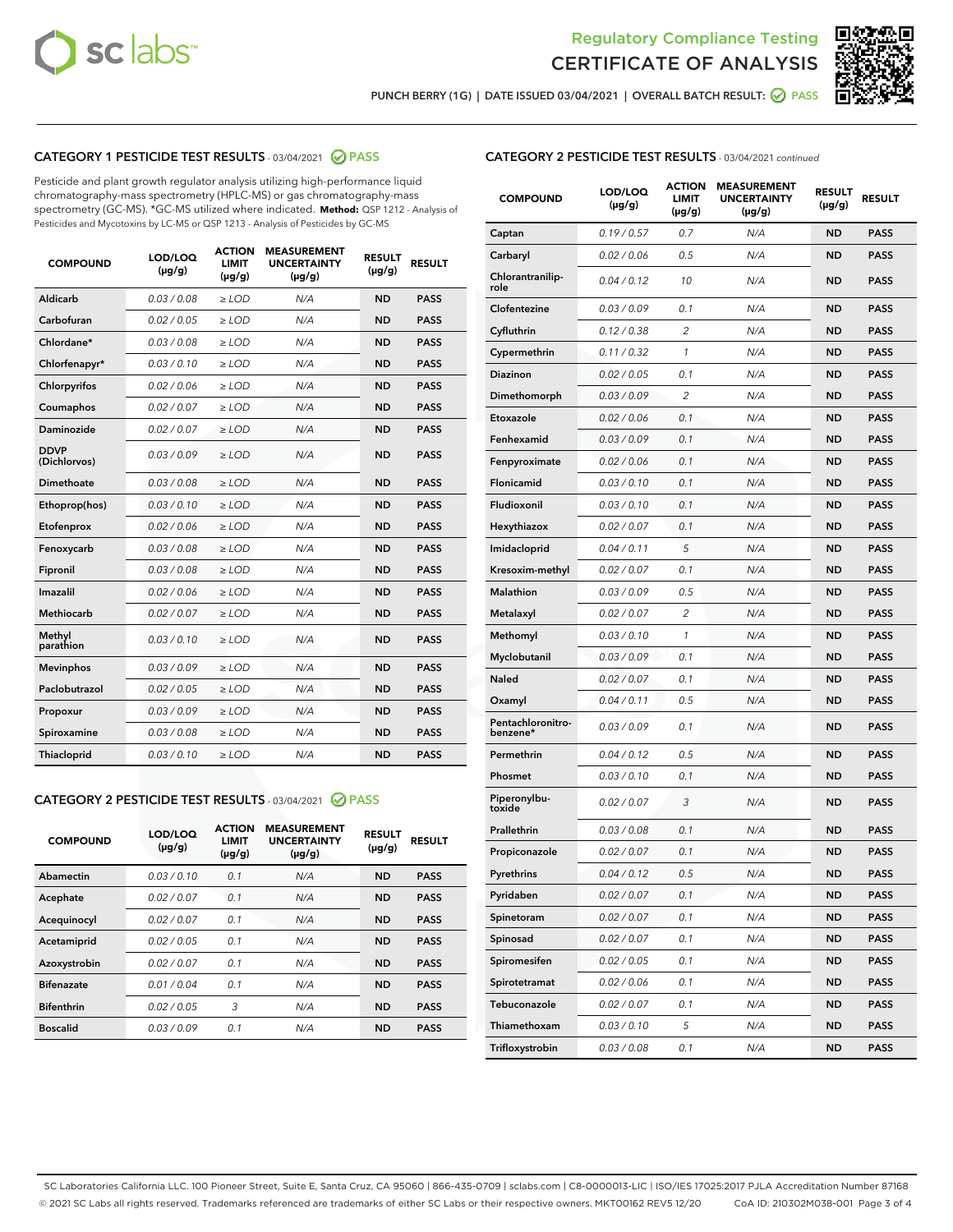



PUNCH BERRY (1G) | DATE ISSUED 03/04/2021 | OVERALL BATCH RESULT: ● PASS

# CATEGORY 1 PESTICIDE TEST RESULTS - 03/04/2021 2 PASS

Pesticide and plant growth regulator analysis utilizing high-performance liquid chromatography-mass spectrometry (HPLC-MS) or gas chromatography-mass spectrometry (GC-MS). \*GC-MS utilized where indicated. **Method:** QSP 1212 - Analysis of Pesticides and Mycotoxins by LC-MS or QSP 1213 - Analysis of Pesticides by GC-MS

| <b>COMPOUND</b>             | LOD/LOQ<br>$(\mu g/g)$ | <b>ACTION</b><br><b>LIMIT</b><br>$(\mu g/g)$ | <b>MEASUREMENT</b><br><b>UNCERTAINTY</b><br>$(\mu g/g)$ | <b>RESULT</b><br>$(\mu g/g)$ | <b>RESULT</b> |
|-----------------------------|------------------------|----------------------------------------------|---------------------------------------------------------|------------------------------|---------------|
| Aldicarb                    | 0.03 / 0.08            | $\ge$ LOD                                    | N/A                                                     | <b>ND</b>                    | <b>PASS</b>   |
| Carbofuran                  | 0.02 / 0.05            | $\geq$ LOD                                   | N/A                                                     | <b>ND</b>                    | <b>PASS</b>   |
| Chlordane*                  | 0.03/0.08              | $\geq$ LOD                                   | N/A                                                     | <b>ND</b>                    | <b>PASS</b>   |
| Chlorfenapyr*               | 0.03/0.10              | $\geq$ LOD                                   | N/A                                                     | <b>ND</b>                    | <b>PASS</b>   |
| Chlorpyrifos                | 0.02 / 0.06            | $\geq$ LOD                                   | N/A                                                     | <b>ND</b>                    | <b>PASS</b>   |
| Coumaphos                   | 0.02 / 0.07            | $\ge$ LOD                                    | N/A                                                     | <b>ND</b>                    | <b>PASS</b>   |
| Daminozide                  | 0.02/0.07              | $>$ LOD                                      | N/A                                                     | <b>ND</b>                    | <b>PASS</b>   |
| <b>DDVP</b><br>(Dichlorvos) | 0.03/0.09              | $>$ LOD                                      | N/A                                                     | <b>ND</b>                    | <b>PASS</b>   |
| Dimethoate                  | 0.03/0.08              | $\ge$ LOD                                    | N/A                                                     | <b>ND</b>                    | <b>PASS</b>   |
| Ethoprop(hos)               | 0.03/0.10              | $>$ LOD                                      | N/A                                                     | <b>ND</b>                    | <b>PASS</b>   |
| Etofenprox                  | 0.02 / 0.06            | $\ge$ LOD                                    | N/A                                                     | <b>ND</b>                    | <b>PASS</b>   |
| Fenoxycarb                  | 0.03/0.08              | $\ge$ LOD                                    | N/A                                                     | <b>ND</b>                    | <b>PASS</b>   |
| Fipronil                    | 0.03/0.08              | $>$ LOD                                      | N/A                                                     | <b>ND</b>                    | <b>PASS</b>   |
| Imazalil                    | 0.02 / 0.06            | $\ge$ LOD                                    | N/A                                                     | <b>ND</b>                    | <b>PASS</b>   |
| Methiocarb                  | 0.02 / 0.07            | $\ge$ LOD                                    | N/A                                                     | <b>ND</b>                    | <b>PASS</b>   |
| Methyl<br>parathion         | 0.03/0.10              | $\ge$ LOD                                    | N/A                                                     | <b>ND</b>                    | <b>PASS</b>   |
| <b>Mevinphos</b>            | 0.03/0.09              | $\ge$ LOD                                    | N/A                                                     | <b>ND</b>                    | <b>PASS</b>   |
| Paclobutrazol               | 0.02 / 0.05            | $\ge$ LOD                                    | N/A                                                     | <b>ND</b>                    | <b>PASS</b>   |
| Propoxur                    | 0.03/0.09              | $\ge$ LOD                                    | N/A                                                     | <b>ND</b>                    | <b>PASS</b>   |
| Spiroxamine                 | 0.03 / 0.08            | $\ge$ LOD                                    | N/A                                                     | <b>ND</b>                    | <b>PASS</b>   |
| Thiacloprid                 | 0.03/0.10              | $\ge$ LOD                                    | N/A                                                     | <b>ND</b>                    | <b>PASS</b>   |

#### CATEGORY 2 PESTICIDE TEST RESULTS - 03/04/2021 @ PASS

| <b>COMPOUND</b>   | LOD/LOQ<br>$(\mu g/g)$ | <b>ACTION</b><br><b>LIMIT</b><br>$(\mu g/g)$ | <b>MEASUREMENT</b><br><b>UNCERTAINTY</b><br>$(\mu g/g)$ | <b>RESULT</b><br>$(\mu g/g)$ | <b>RESULT</b> |
|-------------------|------------------------|----------------------------------------------|---------------------------------------------------------|------------------------------|---------------|
| Abamectin         | 0.03/0.10              | 0.1                                          | N/A                                                     | <b>ND</b>                    | <b>PASS</b>   |
| Acephate          | 0.02/0.07              | 0.1                                          | N/A                                                     | <b>ND</b>                    | <b>PASS</b>   |
| Acequinocyl       | 0.02/0.07              | 0.1                                          | N/A                                                     | <b>ND</b>                    | <b>PASS</b>   |
| Acetamiprid       | 0.02/0.05              | 0.1                                          | N/A                                                     | <b>ND</b>                    | <b>PASS</b>   |
| Azoxystrobin      | 0.02/0.07              | 0.1                                          | N/A                                                     | <b>ND</b>                    | <b>PASS</b>   |
| <b>Bifenazate</b> | 0.01/0.04              | 0.1                                          | N/A                                                     | <b>ND</b>                    | <b>PASS</b>   |
| <b>Bifenthrin</b> | 0.02/0.05              | 3                                            | N/A                                                     | <b>ND</b>                    | <b>PASS</b>   |
| <b>Boscalid</b>   | 0.03/0.09              | 0.1                                          | N/A                                                     | <b>ND</b>                    | <b>PASS</b>   |

# CATEGORY 2 PESTICIDE TEST RESULTS - 03/04/2021 continued

| <b>COMPOUND</b>               | LOD/LOQ<br>(µg/g) | <b>ACTION</b><br>LIMIT<br>$(\mu g/g)$ | <b>MEASUREMENT</b><br><b>UNCERTAINTY</b><br>(µg/g) | <b>RESULT</b><br>(µg/g) | <b>RESULT</b> |
|-------------------------------|-------------------|---------------------------------------|----------------------------------------------------|-------------------------|---------------|
| Captan                        | 0.19/0.57         | 0.7                                   | N/A                                                | ND                      | <b>PASS</b>   |
| Carbaryl                      | 0.02 / 0.06       | 0.5                                   | N/A                                                | ND                      | <b>PASS</b>   |
| Chlorantranilip-<br>role      | 0.04 / 0.12       | 10                                    | N/A                                                | <b>ND</b>               | <b>PASS</b>   |
| Clofentezine                  | 0.03 / 0.09       | 0.1                                   | N/A                                                | <b>ND</b>               | <b>PASS</b>   |
| Cyfluthrin                    | 0.12 / 0.38       | 2                                     | N/A                                                | ND                      | <b>PASS</b>   |
| Cypermethrin                  | 0.11/0.32         | 1                                     | N/A                                                | ND                      | <b>PASS</b>   |
| Diazinon                      | 0.02 / 0.05       | 0.1                                   | N/A                                                | <b>ND</b>               | <b>PASS</b>   |
| Dimethomorph                  | 0.03 / 0.09       | 2                                     | N/A                                                | ND                      | <b>PASS</b>   |
| Etoxazole                     | 0.02 / 0.06       | 0.1                                   | N/A                                                | <b>ND</b>               | <b>PASS</b>   |
| Fenhexamid                    | 0.03 / 0.09       | 0.1                                   | N/A                                                | ND                      | <b>PASS</b>   |
| Fenpyroximate                 | 0.02 / 0.06       | 0.1                                   | N/A                                                | ND                      | <b>PASS</b>   |
| Flonicamid                    | 0.03 / 0.10       | 0.1                                   | N/A                                                | ND                      | <b>PASS</b>   |
| Fludioxonil                   | 0.03/0.10         | 0.1                                   | N/A                                                | <b>ND</b>               | <b>PASS</b>   |
| Hexythiazox                   | 0.02 / 0.07       | 0.1                                   | N/A                                                | ND                      | <b>PASS</b>   |
| Imidacloprid                  | 0.04 / 0.11       | 5                                     | N/A                                                | ND                      | <b>PASS</b>   |
| Kresoxim-methyl               | 0.02 / 0.07       | 0.1                                   | N/A                                                | ND                      | <b>PASS</b>   |
| Malathion                     | 0.03/0.09         | 0.5                                   | N/A                                                | ND                      | <b>PASS</b>   |
| Metalaxyl                     | 0.02 / 0.07       | $\overline{2}$                        | N/A                                                | ND                      | <b>PASS</b>   |
| Methomyl                      | 0.03 / 0.10       | 1                                     | N/A                                                | <b>ND</b>               | <b>PASS</b>   |
| Myclobutanil                  | 0.03/0.09         | 0.1                                   | N/A                                                | ND                      | <b>PASS</b>   |
| Naled                         | 0.02 / 0.07       | 0.1                                   | N/A                                                | ND                      | <b>PASS</b>   |
| Oxamyl                        | 0.04 / 0.11       | 0.5                                   | N/A                                                | <b>ND</b>               | <b>PASS</b>   |
| Pentachloronitro-<br>benzene* | 0.03 / 0.09       | 0.1                                   | N/A                                                | <b>ND</b>               | <b>PASS</b>   |
| Permethrin                    | 0.04 / 0.12       | 0.5                                   | N/A                                                | <b>ND</b>               | <b>PASS</b>   |
| Phosmet                       | 0.03 / 0.10       | 0.1                                   | N/A                                                | ND                      | <b>PASS</b>   |
| Piperonylbu-<br>toxide        | 0.02 / 0.07       | 3                                     | N/A                                                | <b>ND</b>               | <b>PASS</b>   |
| Prallethrin                   | 0.03 / 0.08       | 0.1                                   | N/A                                                | <b>ND</b>               | <b>PASS</b>   |
| Propiconazole                 | 0.02 / 0.07       | 0.1                                   | N/A                                                | ND                      | <b>PASS</b>   |
| Pyrethrins                    | 0.04 / 0.12       | 0.5                                   | N/A                                                | ND                      | PASS          |
| Pyridaben                     | 0.02 / 0.07       | 0.1                                   | N/A                                                | <b>ND</b>               | <b>PASS</b>   |
| Spinetoram                    | 0.02 / 0.07       | 0.1                                   | N/A                                                | <b>ND</b>               | <b>PASS</b>   |
| Spinosad                      | 0.02 / 0.07       | 0.1                                   | N/A                                                | <b>ND</b>               | <b>PASS</b>   |
| Spiromesifen                  | 0.02 / 0.05       | 0.1                                   | N/A                                                | <b>ND</b>               | <b>PASS</b>   |
| Spirotetramat                 | 0.02 / 0.06       | 0.1                                   | N/A                                                | <b>ND</b>               | <b>PASS</b>   |
| Tebuconazole                  | 0.02 / 0.07       | 0.1                                   | N/A                                                | <b>ND</b>               | <b>PASS</b>   |
| Thiamethoxam                  | 0.03 / 0.10       | 5                                     | N/A                                                | <b>ND</b>               | <b>PASS</b>   |
| Trifloxystrobin               | 0.03 / 0.08       | 0.1                                   | N/A                                                | <b>ND</b>               | <b>PASS</b>   |